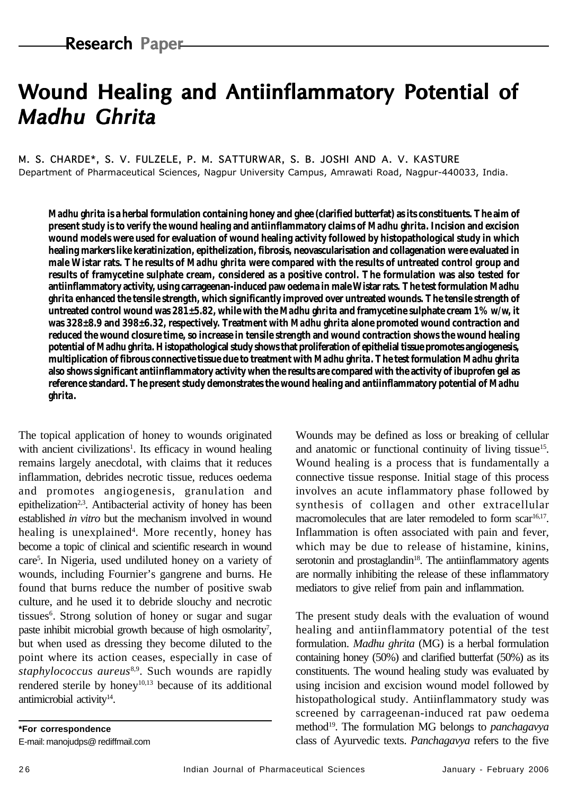# Wound Healing and Antiinflammatory Potential of **Madhu Ghrita**

M. S. CHARDE\*, S. V. FULZELE, P. M. SATTURWAR, S. B. JOSHI AND A. V. KASTURE Department of Pharmaceutical Sciences, Nagpur University Campus, Amrawati Road, Nagpur-440033, India.

*Madhu ghrita* **is a herbal formulation containing honey and ghee (clarified butterfat) as its constituents. The aim of present study is to verify the wound healing and antiinflammatory claims of** *Madhu ghrita***. Incision and excision wound models were used for evaluation of wound healing activity followed by histopathological study in which healing markers like keratinization, epithelization, fibrosis, neovascularisation and collagenation were evaluated in male Wistar rats. The results of** *Madhu ghrita* **were compared with the results of untreated control group and results of framycetine sulphate cream, considered as a positive control. The formulation was also tested for antiinflammatory activity, using carrageenan-induced paw oedema in male Wistar rats. The test formulation** *Madhu ghrita* **enhanced the tensile strength, which significantly improved over untreated wounds. The tensile strength of untreated control wound was 281±5.82, while with the** *Madhu ghrita* **and framycetine sulphate cream 1% w/w, it was 328±8.9 and 398±6.32, respectively. Treatment with** *Madhu ghrita* **alone promoted wound contraction and reduced the wound closure time, so increase in tensile strength and wound contraction shows the wound healing potential of** *Madhu ghrita***. Histopathological study shows that proliferation of epithelial tissue promotes angiogenesis, multiplication of fibrous connective tissue due to treatment with** *Madhu ghrita***. The test formulation** *Madhu ghrita* **also shows significant antiinflammatory activity when the results are compared with the activity of ibuprofen gel as reference standard. The present study demonstrates the wound healing and antiinflammatory potential of** *Madhu ghrita***.**

The topical application of honey to wounds originated with ancient civilizations<sup>1</sup>. Its efficacy in wound healing remains largely anecdotal, with claims that it reduces inflammation, debrides necrotic tissue, reduces oedema and promotes angiogenesis, granulation and epithelization<sup>2,3</sup>. Antibacterial activity of honey has been established *in vitro* but the mechanism involved in wound healing is unexplained<sup>4</sup>. More recently, honey has become a topic of clinical and scientific research in wound care5 . In Nigeria, used undiluted honey on a variety of wounds, including Fournier's gangrene and burns. He found that burns reduce the number of positive swab culture, and he used it to debride slouchy and necrotic tissues<sup>6</sup>. Strong solution of honey or sugar and sugar paste inhibit microbial growth because of high osmolarity<sup>7</sup>, but when used as dressing they become diluted to the point where its action ceases, especially in case of *staphylococcus aureus*8,9. Such wounds are rapidly rendered sterile by honey<sup>10,13</sup> because of its additional antimicrobial activity<sup>14</sup>.

**\*For correspondence** E-mail: manojudps@ rediffmail.com

Wounds may be defined as loss or breaking of cellular and anatomic or functional continuity of living tissue<sup>15</sup>. Wound healing is a process that is fundamentally a connective tissue response. Initial stage of this process involves an acute inflammatory phase followed by synthesis of collagen and other extracellular macromolecules that are later remodeled to form scar<sup>16,17</sup>. Inflammation is often associated with pain and fever, which may be due to release of histamine, kinins, serotonin and prostaglandin<sup>18</sup>. The antiinflammatory agents are normally inhibiting the release of these inflammatory mediators to give relief from pain and inflammation.

The present study deals with the evaluation of wound healing and antiinflammatory potential of the test formulation*. Madhu ghrita* (MG) is a herbal formulation containing honey (50%) and clarified butterfat (50%) as its constituents. The wound healing study was evaluated by using incision and excision wound model followed by histopathological study. Antiinflammatory study was screened by carrageenan-induced rat paw oedema method19. The formulation MG belongs to *panchagavya* class of Ayurvedic texts. *Panchagavya* refers to the five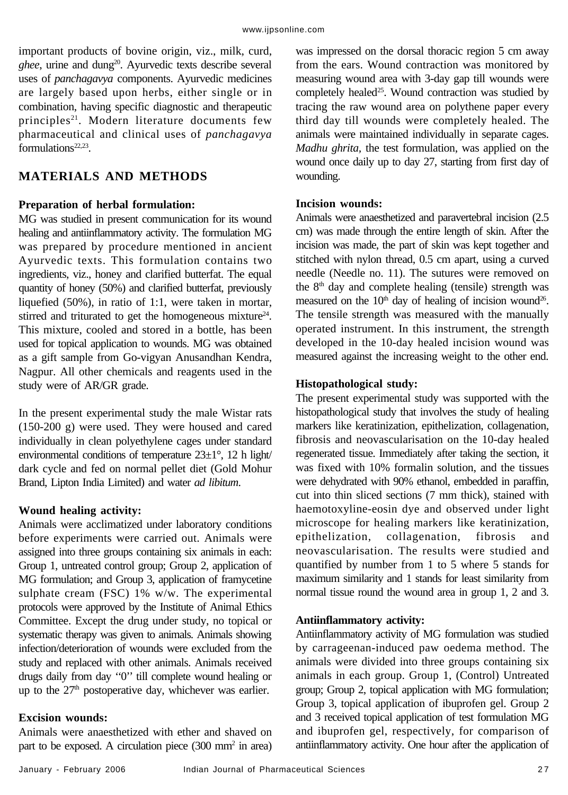important products of bovine origin, viz., milk, curd, ghee, urine and dung<sup>20</sup>. Ayurvedic texts describe several uses of *panchagavya* components. Ayurvedic medicines are largely based upon herbs, either single or in combination, having specific diagnostic and therapeutic principles<sup>21</sup>. Modern literature documents few pharmaceutical and clinical uses of *panchagavya* formulations<sup>22,23</sup>.

# **MATERIALS AND METHODS**

## **Preparation of herbal formulation:**

MG was studied in present communication for its wound healing and antiinflammatory activity. The formulation MG was prepared by procedure mentioned in ancient Ayurvedic texts. This formulation contains two ingredients, viz., honey and clarified butterfat. The equal quantity of honey (50%) and clarified butterfat, previously liquefied (50%), in ratio of 1:1, were taken in mortar, stirred and triturated to get the homogeneous mixture<sup>24</sup>. This mixture, cooled and stored in a bottle, has been used for topical application to wounds. MG was obtained as a gift sample from Go-vigyan Anusandhan Kendra, Nagpur. All other chemicals and reagents used in the study were of AR/GR grade.

In the present experimental study the male Wistar rats (150-200 g) were used. They were housed and cared individually in clean polyethylene cages under standard environmental conditions of temperature  $23\pm1^{\circ}$ , 12 h light/ dark cycle and fed on normal pellet diet (Gold Mohur Brand, Lipton India Limited) and water *ad libitum*.

# **Wound healing activity:**

Animals were acclimatized under laboratory conditions before experiments were carried out. Animals were assigned into three groups containing six animals in each: Group 1, untreated control group; Group 2, application of MG formulation; and Group 3, application of framycetine sulphate cream (FSC) 1% w/w. The experimental protocols were approved by the Institute of Animal Ethics Committee. Except the drug under study, no topical or systematic therapy was given to animals. Animals showing infection/deterioration of wounds were excluded from the study and replaced with other animals. Animals received drugs daily from day ''0'' till complete wound healing or up to the  $27<sup>th</sup>$  postoperative day, whichever was earlier.

## **Excision wounds:**

Animals were anaesthetized with ether and shaved on part to be exposed. A circulation piece (300 mm<sup>2</sup> in area)

was impressed on the dorsal thoracic region 5 cm away from the ears. Wound contraction was monitored by measuring wound area with 3-day gap till wounds were completely healed<sup>25</sup>. Wound contraction was studied by tracing the raw wound area on polythene paper every third day till wounds were completely healed. The animals were maintained individually in separate cages. *Madhu ghrita,* the test formulation, was applied on the wound once daily up to day 27, starting from first day of wounding.

## **Incision wounds:**

Animals were anaesthetized and paravertebral incision (2.5 cm) was made through the entire length of skin. After the incision was made, the part of skin was kept together and stitched with nylon thread, 0.5 cm apart, using a curved needle (Needle no. 11). The sutures were removed on the 8<sup>th</sup> day and complete healing (tensile) strength was measured on the  $10<sup>th</sup>$  day of healing of incision wound<sup>26</sup>. The tensile strength was measured with the manually operated instrument. In this instrument, the strength developed in the 10-day healed incision wound was measured against the increasing weight to the other end.

# **Histopathological study:**

The present experimental study was supported with the histopathological study that involves the study of healing markers like keratinization, epithelization, collagenation, fibrosis and neovascularisation on the 10-day healed regenerated tissue. Immediately after taking the section, it was fixed with 10% formalin solution, and the tissues were dehydrated with 90% ethanol, embedded in paraffin, cut into thin sliced sections (7 mm thick), stained with haemotoxyline-eosin dye and observed under light microscope for healing markers like keratinization, epithelization, collagenation, fibrosis and neovascularisation. The results were studied and quantified by number from 1 to 5 where 5 stands for maximum similarity and 1 stands for least similarity from normal tissue round the wound area in group 1, 2 and 3.

# **Antiinflammatory activity:**

Antiinflammatory activity of MG formulation was studied by carrageenan-induced paw oedema method. The animals were divided into three groups containing six animals in each group. Group 1, (Control) Untreated group; Group 2, topical application with MG formulation; Group 3, topical application of ibuprofen gel. Group 2 and 3 received topical application of test formulation MG and ibuprofen gel, respectively, for comparison of antiinflammatory activity. One hour after the application of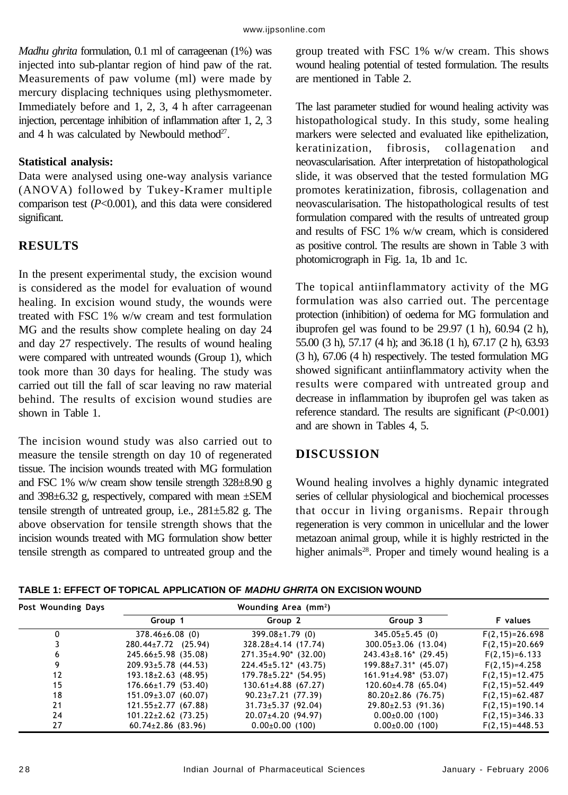*Madhu ghrita* formulation, 0.1 ml of carrageenan (1%) was injected into sub-plantar region of hind paw of the rat. Measurements of paw volume (ml) were made by mercury displacing techniques using plethysmometer. Immediately before and 1, 2, 3, 4 h after carrageenan injection, percentage inhibition of inflammation after 1, 2, 3 and 4 h was calculated by Newbould method $27$ .

# **Statistical analysis:**

Data were analysed using one-way analysis variance (ANOVA) followed by Tukey-Kramer multiple comparison test (*P*<0.001), and this data were considered significant.

# **RESULTS**

In the present experimental study, the excision wound is considered as the model for evaluation of wound healing. In excision wound study, the wounds were treated with FSC 1% w/w cream and test formulation MG and the results show complete healing on day 24 and day 27 respectively. The results of wound healing were compared with untreated wounds (Group 1), which took more than 30 days for healing. The study was carried out till the fall of scar leaving no raw material behind. The results of excision wound studies are shown in Table 1.

The incision wound study was also carried out to measure the tensile strength on day 10 of regenerated tissue. The incision wounds treated with MG formulation and FSC 1% w/w cream show tensile strength 328±8.90 g and 398±6.32 g, respectively, compared with mean ±SEM tensile strength of untreated group, i.e.,  $281 \pm 5.82$  g. The above observation for tensile strength shows that the incision wounds treated with MG formulation show better tensile strength as compared to untreated group and the group treated with FSC 1% w/w cream. This shows wound healing potential of tested formulation. The results are mentioned in Table 2.

The last parameter studied for wound healing activity was histopathological study. In this study, some healing markers were selected and evaluated like epithelization, keratinization, fibrosis, collagenation and neovascularisation. After interpretation of histopathological slide, it was observed that the tested formulation MG promotes keratinization, fibrosis, collagenation and neovascularisation. The histopathological results of test formulation compared with the results of untreated group and results of FSC 1% w/w cream, which is considered as positive control. The results are shown in Table 3 with photomicrograph in Fig. 1a, 1b and 1c.

The topical antiinflammatory activity of the MG formulation was also carried out. The percentage protection (inhibition) of oedema for MG formulation and ibuprofen gel was found to be 29.97 (1 h), 60.94 (2 h), 55.00 (3 h), 57.17 (4 h); and 36.18 (1 h), 67.17 (2 h), 63.93 (3 h), 67.06 (4 h) respectively. The tested formulation MG showed significant antiinflammatory activity when the results were compared with untreated group and decrease in inflammation by ibuprofen gel was taken as reference standard. The results are significant (*P*<0.001) and are shown in Tables 4, 5.

# **DISCUSSION**

Wound healing involves a highly dynamic integrated series of cellular physiological and biochemical processes that occur in living organisms. Repair through regeneration is very common in unicellular and the lower metazoan animal group, while it is highly restricted in the higher animals<sup>28</sup>. Proper and timely wound healing is a

**TABLE 1: EFFECT OF TOPICAL APPLICATION OF MADHU GHRITA ON EXCISION WOUND**

| Post Wounding Days |                           |                             |                             |                     |
|--------------------|---------------------------|-----------------------------|-----------------------------|---------------------|
|                    | Group 1                   | Group 2                     | Group 3                     | <b>F</b> values     |
|                    | $378.46 \pm 6.08$ (0)     | $399.08 \pm 1.79$ (0)       | $345.05 \pm 5.45$ (0)       | $F(2, 15) = 26.698$ |
|                    | $280.44 \pm 7.72$ (25.94) | $328.28 \pm 4.14$ (17.74)   | $300.05 \pm 3.06$ (13.04)   | $F(2, 15) = 20.669$ |
| 6                  | $245.66 \pm 5.98$ (35.08) | $271.35 \pm 4.90^*$ (32.00) | $243.43 \pm 8.16$ * (29.45) | $F(2, 15) = 6.133$  |
|                    | $209.93 \pm 5.78$ (44.53) | $224.45 \pm 5.12$ (43.75)   | $199.88 \pm 7.31$ * (45.07) | $F(2, 15) = 4.258$  |
| 12                 | $193.18 \pm 2.63$ (48.95) | $179.78 \pm 5.22$ (54.95)   | $161.91 \pm 4.98$ * (53.07) | $F(2, 15) = 12.475$ |
| 15                 | $176.66 \pm 1.79$ (53.40) | $130.61 \pm 4.88$ (67.27)   | $120.60 \pm 4.78$ (65.04)   | $F(2, 15) = 52.449$ |
| 18                 | $151.09 \pm 3.07$ (60.07) | $90.23 \pm 7.21$ (77.39)    | $80.20 \pm 2.86$ (76.75)    | $F(2, 15) = 62.487$ |
| 21                 | $121.55 \pm 2.77$ (67.88) | $31.73 \pm 5.37$ (92.04)    | $29.80 \pm 2.53$ (91.36)    | $F(2, 15) = 190.14$ |
| 24                 | $101.22 \pm 2.62$ (73.25) | $20.07 \pm 4.20$ (94.97)    | $0.00 \pm 0.00$ (100)       | $F(2, 15) = 346.33$ |
| 27                 | $60.74 \pm 2.86$ (83.96)  | $0.00\pm0.00$ (100)         | $0.00 \pm 0.00$ (100)       | $F(2, 15) = 448.53$ |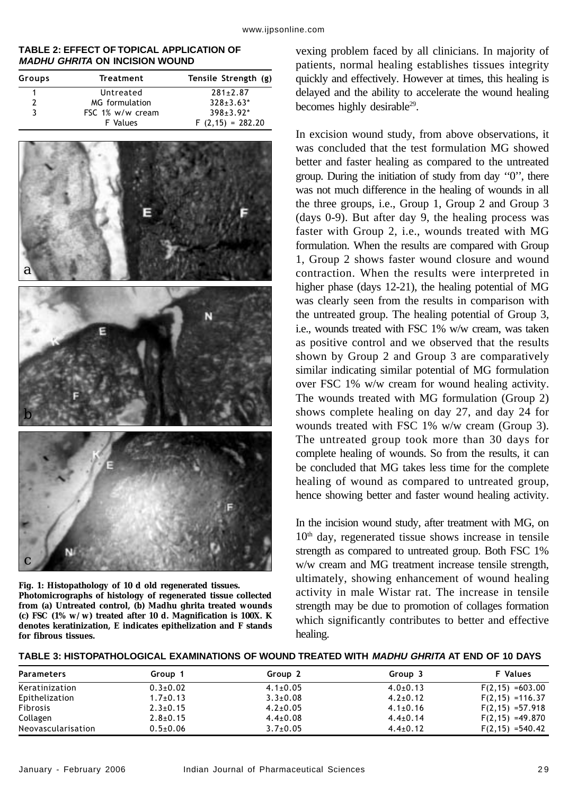#### **TABLE 2: EFFECT OF TOPICAL APPLICATION OF MADHU GHRITA ON INCISION WOUND**

| Groups | Treatment        | Tensile Strength (g) |  |  |
|--------|------------------|----------------------|--|--|
|        | Untreated        | $281 \pm 2.87$       |  |  |
| 2      | MG formulation   | $328 \pm 3.63^*$     |  |  |
| 3      | FSC 1% w/w cream | $398 \pm 3.92^*$     |  |  |
|        | <b>F</b> Values  | $F(2,15) = 282.20$   |  |  |



**Fig. 1: Histopathology of 10 d old regenerated tissues. Photomicrographs of histology of regenerated tissue collected from (a) Untreated control, (b) Madhu ghrita treated wounds (c) FSC (1% w/w) treated after 10 d. Magnification is 100X. K denotes keratinization, E indicates epithelization and F stands for fibrous tissues.**

vexing problem faced by all clinicians. In majority of patients, normal healing establishes tissues integrity quickly and effectively. However at times, this healing is delayed and the ability to accelerate the wound healing becomes highly desirable<sup>29</sup>.

In excision wound study, from above observations, it was concluded that the test formulation MG showed better and faster healing as compared to the untreated group. During the initiation of study from day ''0'', there was not much difference in the healing of wounds in all the three groups, i.e., Group 1, Group 2 and Group 3 (days 0-9). But after day 9, the healing process was faster with Group 2, i.e., wounds treated with MG formulation. When the results are compared with Group 1, Group 2 shows faster wound closure and wound contraction. When the results were interpreted in higher phase (days 12-21), the healing potential of MG was clearly seen from the results in comparison with the untreated group. The healing potential of Group 3, i.e., wounds treated with FSC 1% w/w cream, was taken as positive control and we observed that the results shown by Group 2 and Group 3 are comparatively similar indicating similar potential of MG formulation over FSC 1% w/w cream for wound healing activity. The wounds treated with MG formulation (Group 2) shows complete healing on day 27, and day 24 for wounds treated with FSC 1% w/w cream (Group 3). The untreated group took more than 30 days for complete healing of wounds. So from the results, it can be concluded that MG takes less time for the complete healing of wound as compared to untreated group, hence showing better and faster wound healing activity.

In the incision wound study, after treatment with MG, on 10<sup>th</sup> day, regenerated tissue shows increase in tensile strength as compared to untreated group. Both FSC 1% w/w cream and MG treatment increase tensile strength, ultimately, showing enhancement of wound healing activity in male Wistar rat. The increase in tensile strength may be due to promotion of collages formation which significantly contributes to better and effective healing.

| <b>Parameters</b>  | Group 1        | Group 2        | Group 3        | <b>F</b> Values     |
|--------------------|----------------|----------------|----------------|---------------------|
| Keratinization     | $0.3 \pm 0.02$ | $4.1 \pm 0.05$ | $4.0+0.13$     | $F(2, 15) = 603.00$ |
| Epithelization     | $1.7+0.13$     | $3.3 \pm 0.08$ | $4.2 \pm 0.12$ | $F(2, 15) = 116.37$ |
| <b>Fibrosis</b>    | $2.3 \pm 0.15$ | $4.2 \pm 0.05$ | $4.1 \pm 0.16$ | $F(2, 15) = 57.918$ |
| Collagen           | $2.8 \pm 0.15$ | $4.4 \pm 0.08$ | $4.4 \pm 0.14$ | $F(2, 15) = 49.870$ |
| Neovascularisation | $0.5{\pm}0.06$ | $3.7 \pm 0.05$ | $4.4 \pm 0.12$ | $F(2, 15) = 540.42$ |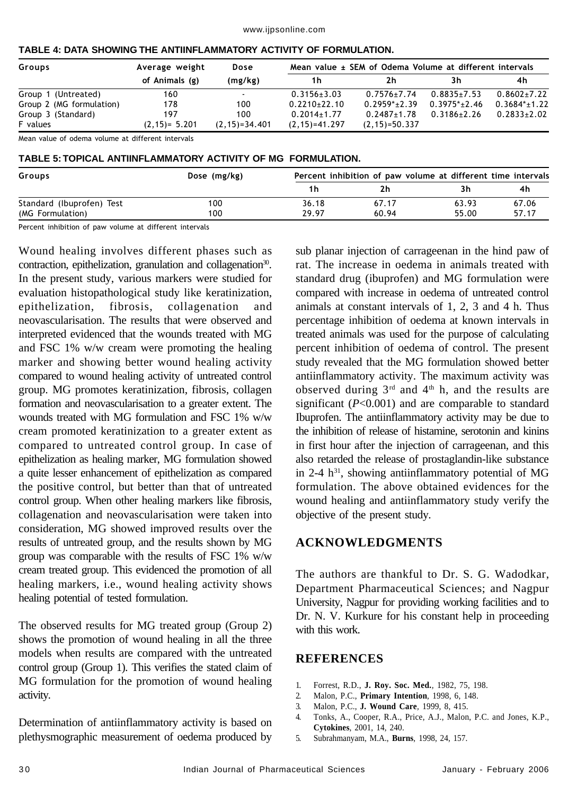| Groups                   | Average weight   | Dose                     | Mean value ± SEM of Odema Volume at different intervals |                    |                   |                   |
|--------------------------|------------------|--------------------------|---------------------------------------------------------|--------------------|-------------------|-------------------|
|                          | of Animals (g)   | (mg/kg)                  | 1 h                                                     | 2h                 | 3h                | 4h                |
| Group 1 (Untreated)      | 160              | $\overline{\phantom{a}}$ | $0.3156 \pm 3.03$                                       | $0.7576 + 7.74$    | $0.8835+7.53$     | $0.8602 \pm 7.22$ |
| Group 2 (MG formulation) | 178              | 100                      | $0.2210+22.10$                                          | $0.2959^*$ + 2.39  | $0.3975^*$ + 2.46 | $0.3684^{*}+1.22$ |
| Group 3 (Standard)       | 197              | 100                      | $0.2014 \pm 1.77$                                       | $0.2487 + 1.78$    | $0.3186 \pm 2.26$ | $0.2833 \pm 2.02$ |
| F values                 | $(2,15) = 5.201$ | $(2, 15) = 34.401$       | $(2, 15) = 41.297$                                      | $(2, 15) = 50.337$ |                   |                   |

#### **TABLE 4: DATA SHOWING THE ANTIINFLAMMATORY ACTIVITY OF FORMULATION.**

Mean value of odema volume at different intervals

## **TABLE 5: TOPICAL ANTIINFLAMMATORY ACTIVITY OF MG FORMULATION.**

| Groups                    | Dose (mg/kg) |       | Percent inhibition of paw volume at different time intervals |       |       |  |
|---------------------------|--------------|-------|--------------------------------------------------------------|-------|-------|--|
|                           |              | 1h    | 2h                                                           |       | 4h    |  |
| Standard (Ibuprofen) Test | 100          | 36.18 | 67.17                                                        | 63.93 | 67.06 |  |
| (MG Formulation)          | 100          | 29.97 | 60.94                                                        | 55.00 | 57.17 |  |

Percent inhibition of paw volume at different intervals

Wound healing involves different phases such as contraction, epithelization, granulation and collagenation<sup>30</sup>. In the present study, various markers were studied for evaluation histopathological study like keratinization, epithelization, fibrosis, collagenation and neovascularisation. The results that were observed and interpreted evidenced that the wounds treated with MG and FSC 1% w/w cream were promoting the healing marker and showing better wound healing activity compared to wound healing activity of untreated control group. MG promotes keratinization, fibrosis, collagen formation and neovascularisation to a greater extent. The wounds treated with MG formulation and FSC 1% w/w cream promoted keratinization to a greater extent as compared to untreated control group. In case of epithelization as healing marker, MG formulation showed a quite lesser enhancement of epithelization as compared the positive control, but better than that of untreated control group. When other healing markers like fibrosis, collagenation and neovascularisation were taken into consideration, MG showed improved results over the results of untreated group, and the results shown by MG group was comparable with the results of FSC 1% w/w cream treated group. This evidenced the promotion of all healing markers, i.e., wound healing activity shows healing potential of tested formulation.

The observed results for MG treated group (Group 2) shows the promotion of wound healing in all the three models when results are compared with the untreated control group (Group 1). This verifies the stated claim of MG formulation for the promotion of wound healing activity.

Determination of antiinflammatory activity is based on plethysmographic measurement of oedema produced by

sub planar injection of carrageenan in the hind paw of rat. The increase in oedema in animals treated with standard drug (ibuprofen) and MG formulation were compared with increase in oedema of untreated control animals at constant intervals of 1, 2, 3 and 4 h. Thus percentage inhibition of oedema at known intervals in treated animals was used for the purpose of calculating percent inhibition of oedema of control. The present study revealed that the MG formulation showed better antiinflammatory activity. The maximum activity was observed during  $3<sup>rd</sup>$  and  $4<sup>th</sup>$  h, and the results are significant (*P*<0.001) and are comparable to standard Ibuprofen. The antiinflammatory activity may be due to the inhibition of release of histamine, serotonin and kinins in first hour after the injection of carrageenan, and this also retarded the release of prostaglandin-like substance in 2-4  $h^{31}$ , showing antiinflammatory potential of MG formulation. The above obtained evidences for the wound healing and antiinflammatory study verify the objective of the present study.

# **ACKNOWLEDGMENTS**

The authors are thankful to Dr. S. G. Wadodkar, Department Pharmaceutical Sciences; and Nagpur University, Nagpur for providing working facilities and to Dr. N. V. Kurkure for his constant help in proceeding with this work.

# **REFERENCES**

- 1. Forrest, R.D., **J. Roy. Soc. Med.***,* 1982, 75, 198.
- 2. Malon, P.C., **Primary Intention***,* 1998, 6, 148.
- 3. Malon, P.C., **J. Wound Care***,* 1999, 8, 415.
- 4. Tonks, A., Cooper, R.A., Price, A.J., Malon, P.C. and Jones, K.P., **Cytokines**, 2001, 14, 240.
- 5. Subrahmanyam, M.A., **Burns***,* 1998, 24, 157.